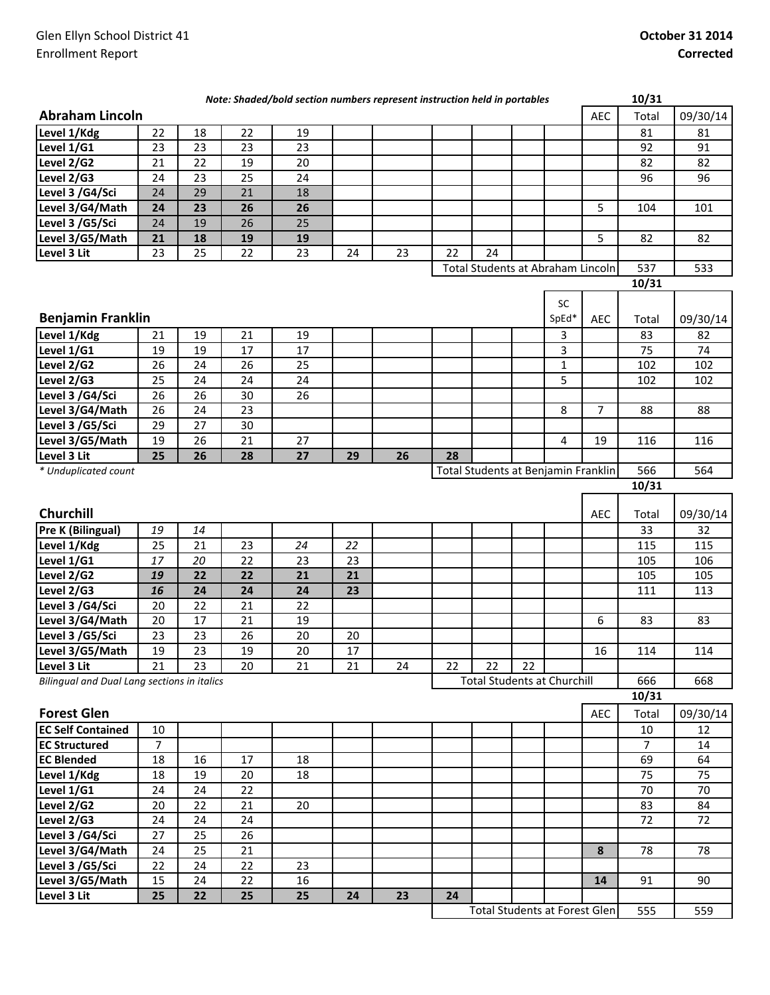|                                             |                |    |    | Note: Shaded/bold section numbers represent instruction held in portables |    |    |    |                                      |    |             |                | 10/31          |          |
|---------------------------------------------|----------------|----|----|---------------------------------------------------------------------------|----|----|----|--------------------------------------|----|-------------|----------------|----------------|----------|
| <b>Abraham Lincoln</b>                      |                |    |    |                                                                           |    |    |    |                                      |    |             | <b>AEC</b>     | Total          | 09/30/14 |
| Level 1/Kdg                                 | 22             | 18 | 22 | 19                                                                        |    |    |    |                                      |    |             |                | 81             | 81       |
| Level 1/G1                                  | 23             | 23 | 23 | 23                                                                        |    |    |    |                                      |    |             |                | 92             | 91       |
| Level 2/G2                                  | 21             | 22 | 19 | 20                                                                        |    |    |    |                                      |    |             |                | 82             | 82       |
| Level 2/G3                                  | 24             | 23 | 25 | 24                                                                        |    |    |    |                                      |    |             |                | 96             | 96       |
| Level 3 /G4/Sci                             | 24             | 29 | 21 | 18                                                                        |    |    |    |                                      |    |             |                |                |          |
| Level 3/G4/Math                             | 24             | 23 | 26 | 26                                                                        |    |    |    |                                      |    |             | 5              | 104            | 101      |
| Level 3 /G5/Sci                             | 24             | 19 | 26 | 25                                                                        |    |    |    |                                      |    |             |                |                |          |
| Level 3/G5/Math                             | 21             | 18 | 19 | 19                                                                        |    |    |    |                                      |    |             | 5              | 82             | 82       |
| Level 3 Lit                                 | 23             | 25 | 22 | 23                                                                        | 24 | 23 | 22 | 24                                   |    |             |                |                |          |
|                                             |                |    |    |                                                                           |    |    |    | Total Students at Abraham Lincoln    |    |             |                | 537            | 533      |
|                                             |                |    |    |                                                                           |    |    |    |                                      |    |             |                | 10/31          |          |
|                                             |                |    |    |                                                                           |    |    |    |                                      |    | SC          |                |                |          |
| <b>Benjamin Franklin</b>                    |                |    |    |                                                                           |    |    |    |                                      |    | SpEd*       | AEC            | Total          | 09/30/14 |
| Level 1/Kdg                                 | 21             | 19 | 21 | 19                                                                        |    |    |    |                                      |    | 3           |                | 83             | 82       |
| Level 1/G1                                  | 19             | 19 | 17 | 17                                                                        |    |    |    |                                      |    | 3           |                | 75             | 74       |
| Level 2/G2                                  | 26             | 24 | 26 | 25                                                                        |    |    |    |                                      |    | $\mathbf 1$ |                | 102            | 102      |
| Level 2/G3                                  | 25             | 24 | 24 | 24                                                                        |    |    |    |                                      |    | 5           |                | 102            | 102      |
| Level 3 /G4/Sci                             | 26             | 26 | 30 | 26                                                                        |    |    |    |                                      |    |             |                |                |          |
| Level 3/G4/Math                             | 26             | 24 | 23 |                                                                           |    |    |    |                                      |    | 8           | $\overline{7}$ | 88             | 88       |
| Level 3 /G5/Sci                             | 29             | 27 | 30 |                                                                           |    |    |    |                                      |    |             |                |                |          |
| Level 3/G5/Math                             | 19             | 26 | 21 | 27                                                                        |    |    |    |                                      |    | 4           | 19             | 116            | 116      |
| Level 3 Lit                                 | 25             | 26 | 28 | 27                                                                        | 29 | 26 | 28 |                                      |    |             |                |                |          |
| * Unduplicated count                        |                |    |    |                                                                           |    |    |    | Total Students at Benjamin Franklin  |    |             |                | 566            | 564      |
|                                             |                |    |    |                                                                           |    |    |    |                                      |    |             |                | 10/31          |          |
|                                             |                |    |    |                                                                           |    |    |    |                                      |    |             |                |                |          |
| <b>Churchill</b>                            |                |    |    |                                                                           |    |    |    |                                      |    |             | <b>AEC</b>     | Total          | 09/30/14 |
| <b>Pre K (Bilingual)</b>                    | 19             | 14 |    |                                                                           |    |    |    |                                      |    |             |                | 33             | 32       |
| Level 1/Kdg                                 | 25             | 21 | 23 | 24                                                                        | 22 |    |    |                                      |    |             |                | 115            | 115      |
| Level 1/G1                                  | 17             | 20 | 22 | 23                                                                        | 23 |    |    |                                      |    |             |                | 105            | 106      |
| Level 2/G2                                  | 19             | 22 | 22 | 21                                                                        | 21 |    |    |                                      |    |             |                | 105            | 105      |
| Level 2/G3                                  | 16             | 24 | 24 | 24                                                                        | 23 |    |    |                                      |    |             |                | 111            | 113      |
| Level 3 /G4/Sci                             | 20             | 22 | 21 | 22                                                                        |    |    |    |                                      |    |             |                |                |          |
| Level 3/G4/Math                             | 20             | 17 | 21 | 19                                                                        |    |    |    |                                      |    |             | 6              | 83             | 83       |
| Level 3 /G5/Sci                             | 23             | 23 | 26 | 20                                                                        | 20 |    |    |                                      |    |             |                |                |          |
| Level 3/G5/Math                             | 19             | 23 | 19 | $20\,$                                                                    | 17 |    |    |                                      |    |             | 16             | 114            | 114      |
| Level 3 Lit                                 | 21             | 23 | 20 | 21                                                                        | 21 | 24 | 22 | 22                                   | 22 |             |                |                |          |
| Bilingual and Dual Lang sections in italics |                |    |    |                                                                           |    |    |    | <b>Total Students at Churchill</b>   |    |             |                | 666            | 668      |
|                                             |                |    |    |                                                                           |    |    |    |                                      |    |             |                | 10/31          |          |
| <b>Forest Glen</b>                          |                |    |    |                                                                           |    |    |    |                                      |    |             | AEC            | Total          | 09/30/14 |
| <b>EC Self Contained</b>                    | 10             |    |    |                                                                           |    |    |    |                                      |    |             |                | 10             | 12       |
| <b>EC Structured</b>                        | $\overline{7}$ |    |    |                                                                           |    |    |    |                                      |    |             |                | $\overline{7}$ | 14       |
| <b>EC Blended</b>                           | 18             | 16 | 17 | 18                                                                        |    |    |    |                                      |    |             |                | 69             | 64       |
| Level 1/Kdg                                 | 18             | 19 | 20 | 18                                                                        |    |    |    |                                      |    |             |                | 75             | 75       |
| Level 1/G1                                  | 24             | 24 | 22 |                                                                           |    |    |    |                                      |    |             |                | 70             | 70       |
| Level 2/G2                                  | 20             | 22 | 21 | 20                                                                        |    |    |    |                                      |    |             |                | 83             | 84       |
| Level 2/G3                                  | 24             | 24 | 24 |                                                                           |    |    |    |                                      |    |             |                | 72             | 72       |
| Level 3 /G4/Sci                             | 27             | 25 | 26 |                                                                           |    |    |    |                                      |    |             |                |                |          |
| Level 3/G4/Math                             | 24             | 25 | 21 |                                                                           |    |    |    |                                      |    |             | 8              | 78             | 78       |
| Level 3 /G5/Sci                             | 22             | 24 | 22 | 23                                                                        |    |    |    |                                      |    |             |                |                |          |
| Level 3/G5/Math                             | 15             | 24 | 22 | 16                                                                        |    |    |    |                                      |    |             | 14             | 91             | 90       |
| Level 3 Lit                                 | 25             | 22 | 25 | 25                                                                        | 24 | 23 | 24 |                                      |    |             |                |                |          |
|                                             |                |    |    |                                                                           |    |    |    | <b>Total Students at Forest Glen</b> |    |             |                | 555            | 559      |